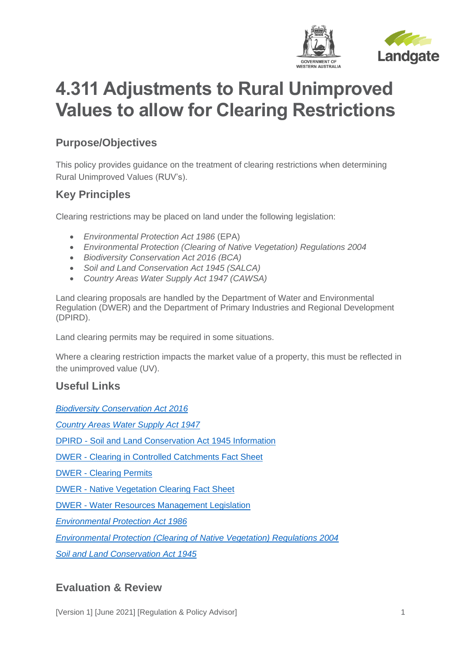

# **4.311 Adjustments to Rural Unimproved Values to allow for Clearing Restrictions**

## **Purpose/Objectives**

This policy provides guidance on the treatment of clearing restrictions when determining Rural Unimproved Values (RUV's).

## **Key Principles**

Clearing restrictions may be placed on land under the following legislation:

- *Environmental Protection Act 1986* (EPA)
- *Environmental Protection (Clearing of Native Vegetation) Regulations 2004*
- *Biodiversity Conservation Act 2016 (BCA)*
- *Soil and Land Conservation Act 1945 (SALCA)*
- *Country Areas Water Supply Act 1947 (CAWSA)*

Land clearing proposals are handled by the Department of Water and Environmental Regulation (DWER) and the Department of Primary Industries and Regional Development (DPIRD).

Land clearing permits may be required in some situations.

Where a clearing restriction impacts the market value of a property, this must be reflected in the unimproved value (UV).

### **Useful Links**

*[Biodiversity Conservation Act 2016](https://www.legislation.wa.gov.au/legislation/statutes.nsf/main_mrtitle_13811_homepage.html)*

*[Country Areas Water Supply Act 1947](https://www.legislation.wa.gov.au/legislation/statutes.nsf/main_mrtitle_208_homepage.html)*

DPIRD - [Soil and Land Conservation Act 1945 Information](https://www.agric.wa.gov.au/soil-and-land-conservation-act-1945)

DWER - [Clearing in Controlled Catchments Fact Sheet](http://203.20.249.31/images/documents/your-environment/native-vegetation/Fact_sheets/fs8-water-catchments.pdf)

DWER - [Clearing Permits](https://www.der.wa.gov.au/our-work/clearing-permits)

DWER - [Native Vegetation Clearing Fact Sheet](https://www.der.wa.gov.au/images/documents/your-environment/native-vegetation/Fact_sheets/fs1_legislation.pdf)

DWER - [Water Resources Management Legislation](https://www.water.wa.gov.au/legislation/current-legislation/water-resources-management-legislation)

*[Environmental Protection Act 1986](https://www.legislation.wa.gov.au/legislation/statutes.nsf/main_mrtitle_304_homepage.html)*

*[Environmental Protection \(Clearing of Native Vegetation\) Regulations 2004](https://www.legislation.wa.gov.au/legislation/statutes.nsf/law_s34203.html)*

*[Soil and Land Conservation Act 1945](https://www.legislation.wa.gov.au/legislation/statutes.nsf/main_mrtitle_901_homepage.html)*

### **Evaluation & Review**

[Version 1] [June 2021] [Regulation & Policy Advisor] 1